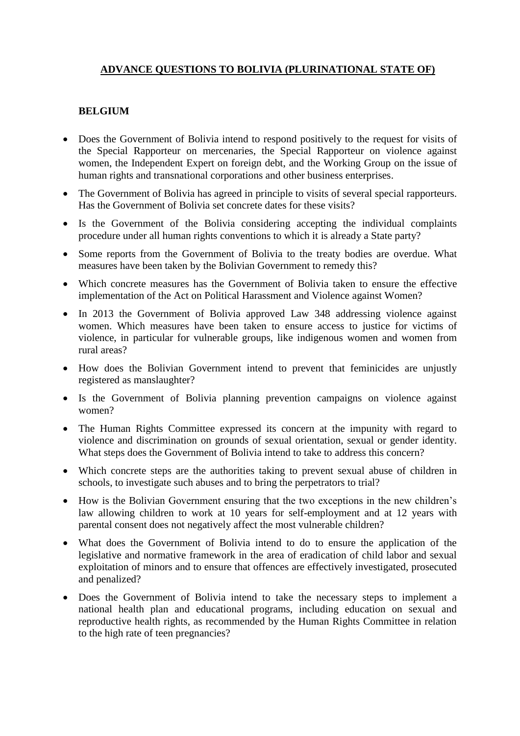# **ADVANCE QUESTIONS TO BOLIVIA (PLURINATIONAL STATE OF)**

#### **BELGIUM**

- Does the Government of Bolivia intend to respond positively to the request for visits of the Special Rapporteur on mercenaries, the Special Rapporteur on violence against women, the Independent Expert on foreign debt, and the Working Group on the issue of human rights and transnational corporations and other business enterprises.
- The Government of Bolivia has agreed in principle to visits of several special rapporteurs. Has the Government of Bolivia set concrete dates for these visits?
- Is the Government of the Bolivia considering accepting the individual complaints procedure under all human rights conventions to which it is already a State party?
- Some reports from the Government of Bolivia to the treaty bodies are overdue. What measures have been taken by the Bolivian Government to remedy this?
- Which concrete measures has the Government of Bolivia taken to ensure the effective implementation of the Act on Political Harassment and Violence against Women?
- In 2013 the Government of Bolivia approved Law 348 addressing violence against women. Which measures have been taken to ensure access to justice for victims of violence, in particular for vulnerable groups, like indigenous women and women from rural areas?
- How does the Bolivian Government intend to prevent that feminicides are unjustly registered as manslaughter?
- Is the Government of Bolivia planning prevention campaigns on violence against women?
- The Human Rights Committee expressed its concern at the impunity with regard to violence and discrimination on grounds of sexual orientation, sexual or gender identity. What steps does the Government of Bolivia intend to take to address this concern?
- Which concrete steps are the authorities taking to prevent sexual abuse of children in schools, to investigate such abuses and to bring the perpetrators to trial?
- How is the Bolivian Government ensuring that the two exceptions in the new children's law allowing children to work at 10 years for self-employment and at 12 years with parental consent does not negatively affect the most vulnerable children?
- What does the Government of Bolivia intend to do to ensure the application of the legislative and normative framework in the area of eradication of child labor and sexual exploitation of minors and to ensure that offences are effectively investigated, prosecuted and penalized?
- Does the Government of Bolivia intend to take the necessary steps to implement a national health plan and educational programs, including education on sexual and reproductive health rights, as recommended by the Human Rights Committee in relation to the high rate of teen pregnancies?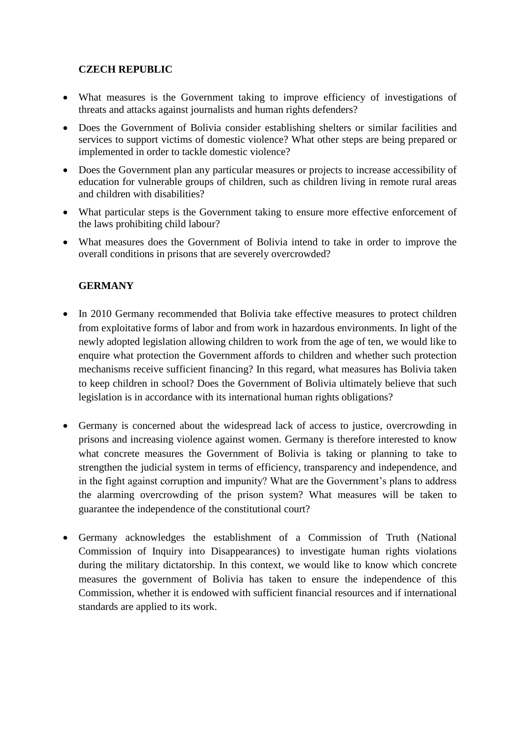#### **CZECH REPUBLIC**

- What measures is the Government taking to improve efficiency of investigations of threats and attacks against journalists and human rights defenders?
- Does the Government of Bolivia consider establishing shelters or similar facilities and services to support victims of domestic violence? What other steps are being prepared or implemented in order to tackle domestic violence?
- Does the Government plan any particular measures or projects to increase accessibility of education for vulnerable groups of children, such as children living in remote rural areas and children with disabilities?
- What particular steps is the Government taking to ensure more effective enforcement of the laws prohibiting child labour?
- What measures does the Government of Bolivia intend to take in order to improve the overall conditions in prisons that are severely overcrowded?

#### **GERMANY**

- In 2010 Germany recommended that Bolivia take effective measures to protect children from exploitative forms of labor and from work in hazardous environments. In light of the newly adopted legislation allowing children to work from the age of ten, we would like to enquire what protection the Government affords to children and whether such protection mechanisms receive sufficient financing? In this regard, what measures has Bolivia taken to keep children in school? Does the Government of Bolivia ultimately believe that such legislation is in accordance with its international human rights obligations?
- Germany is concerned about the widespread lack of access to justice, overcrowding in prisons and increasing violence against women. Germany is therefore interested to know what concrete measures the Government of Bolivia is taking or planning to take to strengthen the judicial system in terms of efficiency, transparency and independence, and in the fight against corruption and impunity? What are the Government's plans to address the alarming overcrowding of the prison system? What measures will be taken to guarantee the independence of the constitutional court?
- Germany acknowledges the establishment of a Commission of Truth (National Commission of Inquiry into Disappearances) to investigate human rights violations during the military dictatorship. In this context, we would like to know which concrete measures the government of Bolivia has taken to ensure the independence of this Commission, whether it is endowed with sufficient financial resources and if international standards are applied to its work.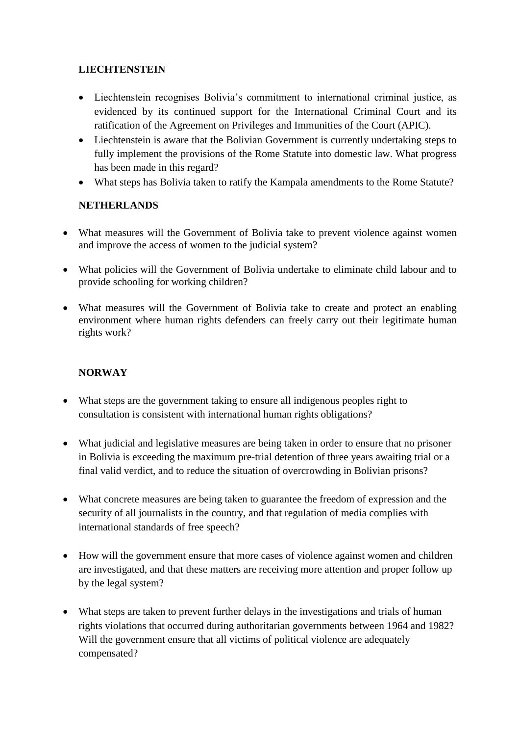## **LIECHTENSTEIN**

- Liechtenstein recognises Bolivia's commitment to international criminal justice, as evidenced by its continued support for the International Criminal Court and its ratification of the Agreement on Privileges and Immunities of the Court (APIC).
- Liechtenstein is aware that the Bolivian Government is currently undertaking steps to fully implement the provisions of the Rome Statute into domestic law. What progress has been made in this regard?
- What steps has Bolivia taken to ratify the Kampala amendments to the Rome Statute?

# **NETHERLANDS**

- What measures will the Government of Bolivia take to prevent violence against women and improve the access of women to the judicial system?
- What policies will the Government of Bolivia undertake to eliminate child labour and to provide schooling for working children?
- What measures will the Government of Bolivia take to create and protect an enabling environment where human rights defenders can freely carry out their legitimate human rights work?

# **NORWAY**

- What steps are the government taking to ensure all indigenous peoples right to consultation is consistent with international human rights obligations?
- What judicial and legislative measures are being taken in order to ensure that no prisoner in Bolivia is exceeding the maximum pre-trial detention of three years awaiting trial or a final valid verdict, and to reduce the situation of overcrowding in Bolivian prisons?
- What concrete measures are being taken to guarantee the freedom of expression and the security of all journalists in the country, and that regulation of media complies with international standards of free speech?
- How will the government ensure that more cases of violence against women and children are investigated, and that these matters are receiving more attention and proper follow up by the legal system?
- What steps are taken to prevent further delays in the investigations and trials of human rights violations that occurred during authoritarian governments between 1964 and 1982? Will the government ensure that all victims of political violence are adequately compensated?